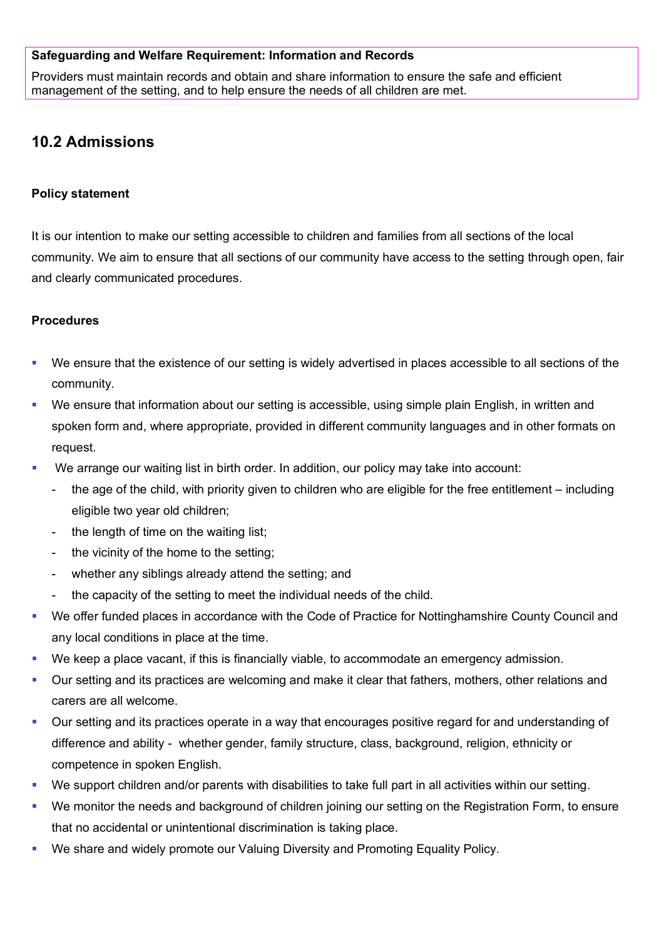## **Safeguarding and Welfare Requirement: Information and Records**

Providers must maintain records and obtain and share information to ensure the safe and efficient management of the setting, and to help ensure the needs of all children are met.

# **10.2 Admissions**

### **Policy statement**

It is our intention to make our setting accessible to children and families from all sections of the local community. We aim to ensure that all sections of our community have access to the setting through open, fair and clearly communicated procedures.

## **Procedures**

- We ensure that the existence of our setting is widely advertised in places accessible to all sections of the community.
- We ensure that information about our setting is accessible, using simple plain English, in written and spoken form and, where appropriate, provided in different community languages and in other formats on request.
- We arrange our waiting list in birth order. In addition, our policy may take into account:
	- the age of the child, with priority given to children who are eligible for the free entitlement including eligible two year old children;
	- the length of time on the waiting list;
	- the vicinity of the home to the setting;
	- whether any siblings already attend the setting; and
	- the capacity of the setting to meet the individual needs of the child.
- We offer funded places in accordance with the Code of Practice for Nottinghamshire County Council and any local conditions in place at the time.
- We keep a place vacant, if this is financially viable, to accommodate an emergency admission.
- Our setting and its practices are welcoming and make it clear that fathers, mothers, other relations and carers are all welcome.
- Our setting and its practices operate in a way that encourages positive regard for and understanding of difference and ability - whether gender, family structure, class, background, religion, ethnicity or competence in spoken English.
- We support children and/or parents with disabilities to take full part in all activities within our setting.
- We monitor the needs and background of children joining our setting on the Registration Form, to ensure that no accidental or unintentional discrimination is taking place.
- We share and widely promote our Valuing Diversity and Promoting Equality Policy.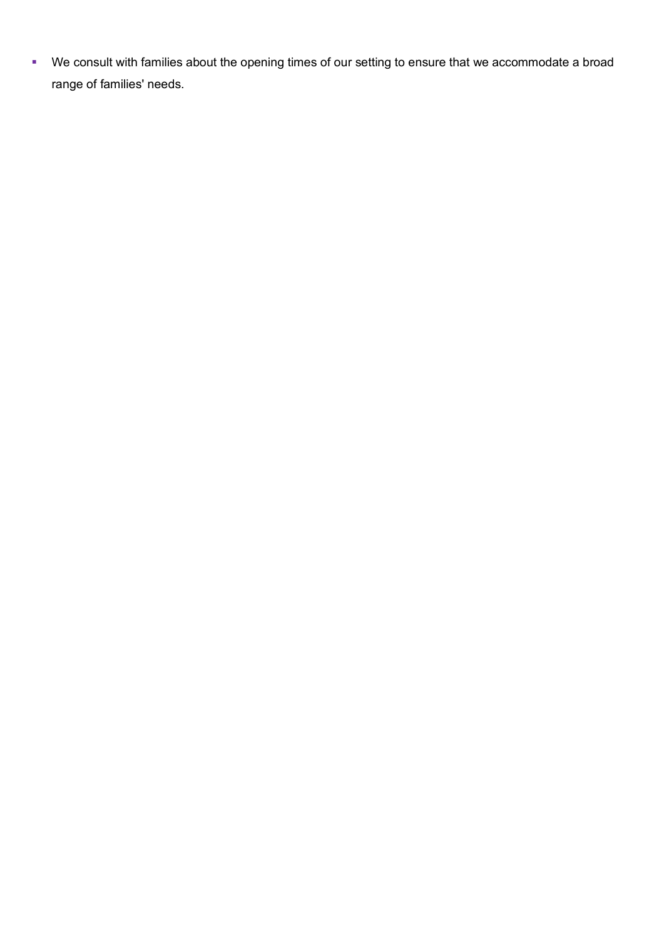We consult with families about the opening times of our setting to ensure that we accommodate a broad range of families' needs.